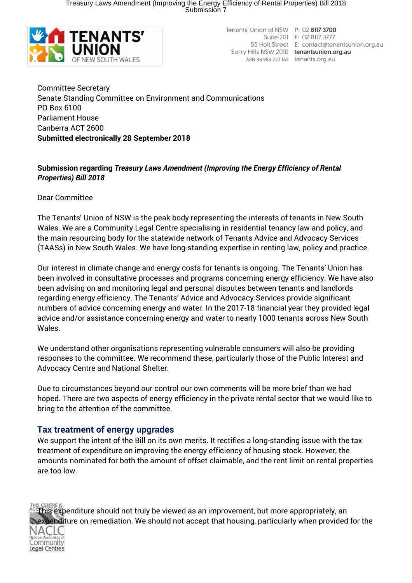Treasury Laws Amendment (Improving the Energy Efficiency of Rental Properties) Bill 2018 Submission 7



Tenants' Union of NSW P: 02 8117 3700 Suite 201 F: 02 8117 3777 55 Holt Street E: contact@tenantsunion.org.au Surry Hills NSW 2010 tenantsunion.org.au ABN 88 984 223 164 tenants.org.au

Committee Secretary Senate Standing Committee on Environment and Communications PO Box 6100 Parliament House Canberra ACT 2600 **Submitted electronically 28 September 2018**

## **Submission regarding** *Treasury Laws Amendment (Improving the Energy Efficiency of Rental Properties) Bill 2018*

Dear Committee

The Tenants' Union of NSW is the peak body representing the interests of tenants in New South Wales. We are a Community Legal Centre specialising in residential tenancy law and policy, and the main resourcing body for the statewide network of Tenants Advice and Advocacy Services (TAASs) in New South Wales. We have long-standing expertise in renting law, policy and practice.

Our interest in climate change and energy costs for tenants is ongoing. The Tenants' Union has been involved in consultative processes and programs concerning energy efficiency. We have also been advising on and monitoring legal and personal disputes between tenants and landlords regarding energy efficiency. The Tenants' Advice and Advocacy Services provide significant numbers of advice concerning energy and water. In the 2017-18 financial year they provided legal advice and/or assistance concerning energy and water to nearly 1000 tenants across New South Wales.

We understand other organisations representing vulnerable consumers will also be providing responses to the committee. We recommend these, particularly those of the Public Interest and Advocacy Centre and National Shelter.

Due to circumstances beyond our control our own comments will be more brief than we had hoped. There are two aspects of energy efficiency in the private rental sector that we would like to bring to the attention of the committee.

## **Tax treatment of energy upgrades**

We support the intent of the Bill on its own merits. It rectifies a long-standing issue with the tax treatment of expenditure on improving the energy efficiency of housing stock. However, the amounts nominated for both the amount of offset claimable, and the rent limit on rental properties are too low.

This expenditure should not truly be viewed as an improvement, but more appropriately, an expenditure on remediation. We should not accept that housing, particularly when provided for the Community Legal Centres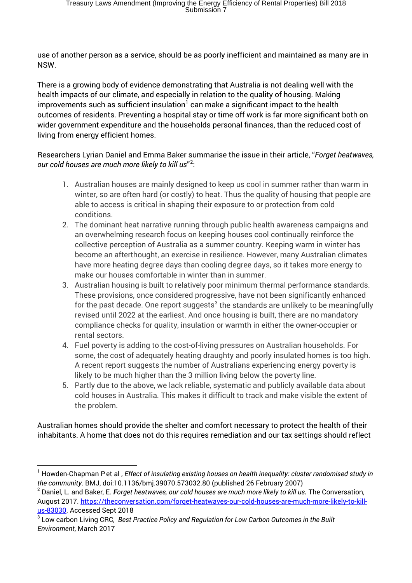use of another person as a service, should be as poorly inefficient and maintained as many are in NSW.

There is a growing body of evidence demonstrating that Australia is not dealing well with the health impacts of our climate, and especially in relation to the quality of housing. Making improvements such as sufficient insulation $<sup>1</sup>$  $<sup>1</sup>$  $<sup>1</sup>$  can make a significant impact to the health</sup> outcomes of residents. Preventing a hospital stay or time off work is far more significant both on wider government expenditure and the households personal finances, than the reduced cost of living from energy efficient homes.

Researchers Lyrian Daniel and Emma Baker summarise the issue in their article, "*Forget heatwaves, our cold houses are much more likely to kill us*" [2](#page-1-1) :

- 1. Australian houses are mainly designed to keep us cool in summer rather than warm in winter, so are often hard (or costly) to heat. Thus the quality of housing that people are able to access is critical in shaping their exposure to or protection from cold conditions.
- 2. The dominant heat narrative running through public health awareness campaigns and an overwhelming research focus on keeping houses cool continually reinforce the collective perception of Australia as a summer country. Keeping warm in winter has become an afterthought, an exercise in resilience. However, many Australian climates have more heating degree days than cooling degree days, so it takes more energy to make our houses comfortable in winter than in summer.
- 3. Australian housing is built to relatively poor minimum thermal performance standards. These provisions, once considered progressive, have not been significantly enhanced for the past decade. One report suggests<sup>[3](#page-1-2)</sup> the standards are unlikely to be meaningfully revised until 2022 at the earliest. And once housing is built, there are no mandatory compliance checks for quality, insulation or warmth in either the owner-occupier or rental sectors.
- 4. Fuel poverty is adding to the cost-of-living pressures on Australian households. For some, the cost of adequately heating draughty and poorly insulated homes is too high. A recent report suggests the number of Australians experiencing energy poverty is likely to be much higher than the 3 million living below the poverty line.
- 5. Partly due to the above, we lack reliable, systematic and publicly available data about cold houses in Australia. This makes it difficult to track and make visible the extent of the problem.

Australian homes should provide the shelter and comfort necessary to protect the health of their inhabitants. A home that does not do this requires remediation and our tax settings should reflect

<span id="page-1-0"></span><sup>&</sup>lt;sup>1</sup> Howden-Chapman Pet al, *Effect of insulating existing houses on health inequality: cluster randomised study in the community*. BMJ, doi:10.1136/bmj.39070.573032.80 (published 26 February 2007)

<span id="page-1-1"></span><sup>2</sup> Daniel, L. and Baker, E. *Forget heatwaves, our cold houses are much more likely to kill us.* The Conversation, August 2017. [https://theconversation.com/forget-heatwaves-our-cold-houses-are-much-more-likely-to-kill](https://theconversation.com/forget-heatwaves-our-cold-houses-are-much-more-likely-to-kill-us-83030)[us-83030.](https://theconversation.com/forget-heatwaves-our-cold-houses-are-much-more-likely-to-kill-us-83030) Accessed Sept 2018

<span id="page-1-2"></span><sup>3</sup> Low carbon Living CRC, *Best Practice Policy and Regulation for Low Carbon Outcomes in the Built Environment*, March 2017